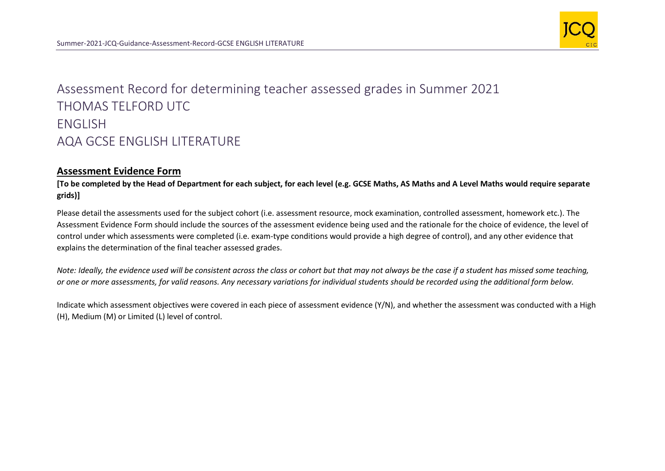

## Assessment Record for determining teacher assessed grades in Summer 2021 THOMAS TELFORD UTC ENGLISH AQA GCSE ENGLISH LITERATURE

## **Assessment Evidence Form**

**[To be completed by the Head of Department for each subject, for each level (e.g. GCSE Maths, AS Maths and A Level Maths would require separate grids)]**

Please detail the assessments used for the subject cohort (i.e. assessment resource, mock examination, controlled assessment, homework etc.). The Assessment Evidence Form should include the sources of the assessment evidence being used and the rationale for the choice of evidence, the level of control under which assessments were completed (i.e. exam-type conditions would provide a high degree of control), and any other evidence that explains the determination of the final teacher assessed grades.

*Note: Ideally, the evidence used will be consistent across the class or cohort but that may not always be the case if a student has missed some teaching, or one or more assessments, for valid reasons. Any necessary variations for individual students should be recorded using the additional form below.* 

Indicate which assessment objectives were covered in each piece of assessment evidence (Y/N), and whether the assessment was conducted with a High (H), Medium (M) or Limited (L) level of control.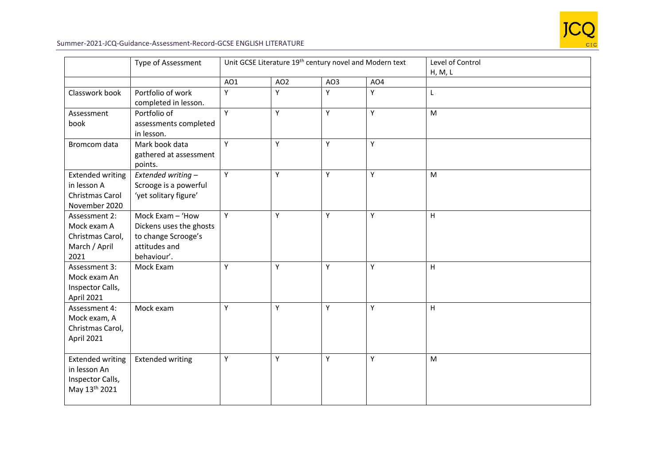

## Summer-2021-JCQ-Guidance-Assessment-Record-GCSE ENGLISH LITERATURE

|                                                                              | Type of Assessment                                                                                 | Unit GCSE Literature 19 <sup>th</sup> century novel and Modern text |                 |     |                 | Level of Control<br>H, M, L |
|------------------------------------------------------------------------------|----------------------------------------------------------------------------------------------------|---------------------------------------------------------------------|-----------------|-----|-----------------|-----------------------------|
|                                                                              |                                                                                                    | AO1                                                                 | AO <sub>2</sub> | AO3 | AO <sub>4</sub> |                             |
| Classwork book                                                               | Portfolio of work<br>completed in lesson.                                                          | Y                                                                   | Y               | Y   | Y               | Г                           |
| Assessment<br>book                                                           | Portfolio of<br>assessments completed<br>in lesson.                                                | Y                                                                   | Υ               | Y   | Y               | M                           |
| Bromcom data                                                                 | Mark book data<br>gathered at assessment<br>points.                                                | Y                                                                   | Y               | Y   | Y               |                             |
| <b>Extended writing</b><br>in lesson A<br>Christmas Carol<br>November 2020   | Extended writing -<br>Scrooge is a powerful<br>'yet solitary figure'                               | Y                                                                   | Y               | Y   | Y               | M                           |
| Assessment 2:<br>Mock exam A<br>Christmas Carol,<br>March / April<br>2021    | Mock Exam - 'How<br>Dickens uses the ghosts<br>to change Scrooge's<br>attitudes and<br>behaviour'. | Y                                                                   | Υ               | Y   | Y               | H                           |
| Assessment 3:<br>Mock exam An<br>Inspector Calls,<br>April 2021              | Mock Exam                                                                                          | Y                                                                   | Υ               | Y   | Y               | H                           |
| Assessment 4:<br>Mock exam, A<br>Christmas Carol,<br>April 2021              | Mock exam                                                                                          | Y                                                                   | Y               | Υ   | Y               | H                           |
| <b>Extended writing</b><br>in lesson An<br>Inspector Calls,<br>May 13th 2021 | <b>Extended writing</b>                                                                            | Y                                                                   | Y               | Υ   | Y               | M                           |